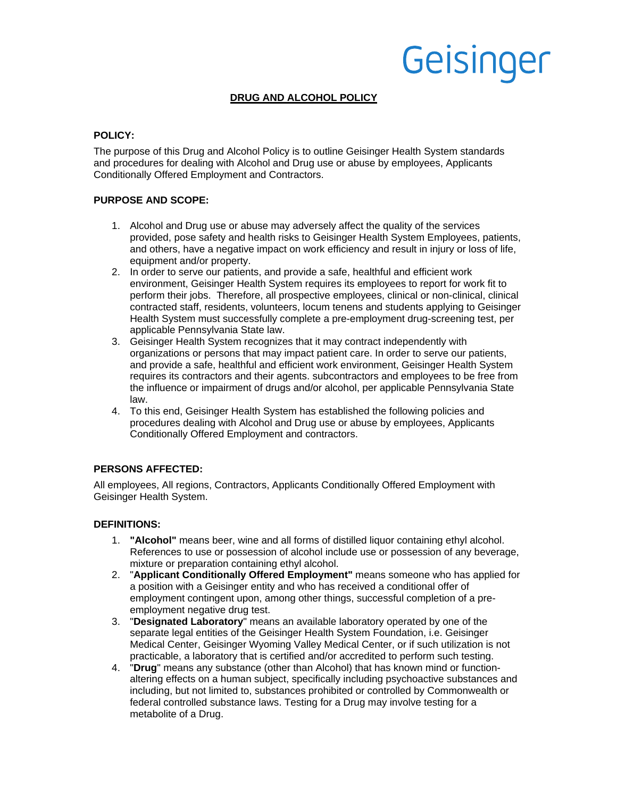#### **DRUG AND ALCOHOL POLICY**

#### **POLICY:**

The purpose of this Drug and Alcohol Policy is to outline Geisinger Health System standards and procedures for dealing with Alcohol and Drug use or abuse by employees, Applicants Conditionally Offered Employment and Contractors.

#### **PURPOSE AND SCOPE:**

- 1. Alcohol and Drug use or abuse may adversely affect the quality of the services provided, pose safety and health risks to Geisinger Health System Employees, patients, and others, have a negative impact on work efficiency and result in injury or loss of life, equipment and/or property.
- 2. In order to serve our patients, and provide a safe, healthful and efficient work environment, Geisinger Health System requires its employees to report for work fit to perform their jobs. Therefore, all prospective employees, clinical or non-clinical, clinical contracted staff, residents, volunteers, locum tenens and students applying to Geisinger Health System must successfully complete a pre-employment drug-screening test, per applicable Pennsylvania State law.
- 3. Geisinger Health System recognizes that it may contract independently with organizations or persons that may impact patient care. In order to serve our patients, and provide a safe, healthful and efficient work environment, Geisinger Health System requires its contractors and their agents. subcontractors and employees to be free from the influence or impairment of drugs and/or alcohol, per applicable Pennsylvania State law.
- 4. To this end, Geisinger Health System has established the following policies and procedures dealing with Alcohol and Drug use or abuse by employees, Applicants Conditionally Offered Employment and contractors.

#### **PERSONS AFFECTED:**

All employees, All regions, Contractors, Applicants Conditionally Offered Employment with Geisinger Health System.

#### **DEFINITIONS:**

- 1. **"Alcohol"** means beer, wine and all forms of distilled liquor containing ethyl alcohol. References to use or possession of alcohol include use or possession of any beverage, mixture or preparation containing ethyl alcohol.
- 2. "**Applicant Conditionally Offered Employment"** means someone who has applied for a position with a Geisinger entity and who has received a conditional offer of employment contingent upon, among other things, successful completion of a preemployment negative drug test.
- 3. "**Designated Laboratory**" means an available laboratory operated by one of the separate legal entities of the Geisinger Health System Foundation, i.e. Geisinger Medical Center, Geisinger Wyoming Valley Medical Center, or if such utilization is not practicable, a laboratory that is certified and/or accredited to perform such testing.
- 4. "**Drug**" means any substance (other than Alcohol) that has known mind or functionaltering effects on a human subject, specifically including psychoactive substances and including, but not limited to, substances prohibited or controlled by Commonwealth or federal controlled substance laws. Testing for a Drug may involve testing for a metabolite of a Drug.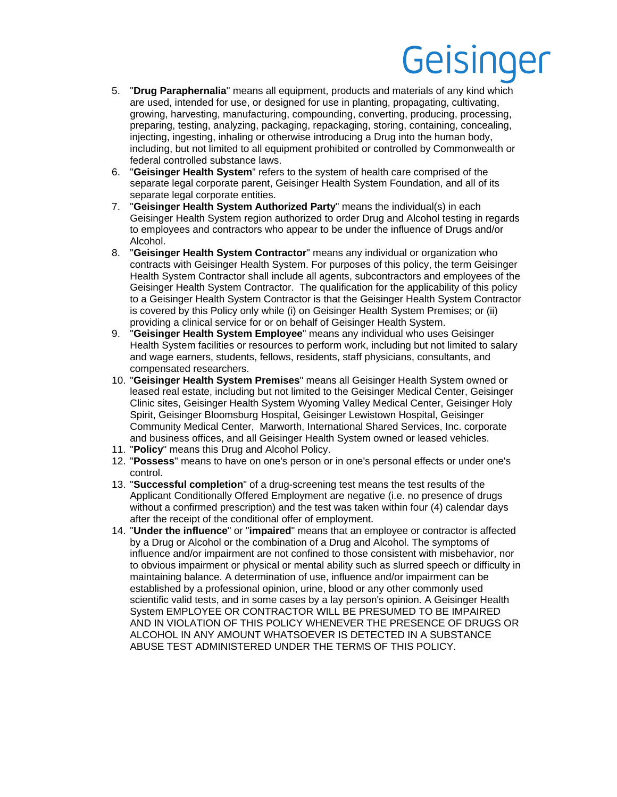- 5. "**Drug Paraphernalia**" means all equipment, products and materials of any kind which are used, intended for use, or designed for use in planting, propagating, cultivating, growing, harvesting, manufacturing, compounding, converting, producing, processing, preparing, testing, analyzing, packaging, repackaging, storing, containing, concealing, injecting, ingesting, inhaling or otherwise introducing a Drug into the human body, including, but not limited to all equipment prohibited or controlled by Commonwealth or federal controlled substance laws.
- 6. "**Geisinger Health System**" refers to the system of health care comprised of the separate legal corporate parent, Geisinger Health System Foundation, and all of its separate legal corporate entities.
- 7. "**Geisinger Health System Authorized Party**" means the individual(s) in each Geisinger Health System region authorized to order Drug and Alcohol testing in regards to employees and contractors who appear to be under the influence of Drugs and/or Alcohol.
- 8. "**Geisinger Health System Contractor**" means any individual or organization who contracts with Geisinger Health System. For purposes of this policy, the term Geisinger Health System Contractor shall include all agents, subcontractors and employees of the Geisinger Health System Contractor. The qualification for the applicability of this policy to a Geisinger Health System Contractor is that the Geisinger Health System Contractor is covered by this Policy only while (i) on Geisinger Health System Premises; or (ii) providing a clinical service for or on behalf of Geisinger Health System.
- 9. "**Geisinger Health System Employee**" means any individual who uses Geisinger Health System facilities or resources to perform work, including but not limited to salary and wage earners, students, fellows, residents, staff physicians, consultants, and compensated researchers.
- 10. "**Geisinger Health System Premises**" means all Geisinger Health System owned or leased real estate, including but not limited to the Geisinger Medical Center, Geisinger Clinic sites, Geisinger Health System Wyoming Valley Medical Center, Geisinger Holy Spirit, Geisinger Bloomsburg Hospital, Geisinger Lewistown Hospital, Geisinger Community Medical Center, Marworth, International Shared Services, Inc. corporate and business offices, and all Geisinger Health System owned or leased vehicles.
- 11. "**Policy**" means this Drug and Alcohol Policy.
- 12. "**Possess**" means to have on one's person or in one's personal effects or under one's control.
- 13. "**Successful completion**" of a drug-screening test means the test results of the Applicant Conditionally Offered Employment are negative (i.e. no presence of drugs without a confirmed prescription) and the test was taken within four (4) calendar days after the receipt of the conditional offer of employment.
- 14. "**Under the influence**" or "**impaired**" means that an employee or contractor is affected by a Drug or Alcohol or the combination of a Drug and Alcohol. The symptoms of influence and/or impairment are not confined to those consistent with misbehavior, nor to obvious impairment or physical or mental ability such as slurred speech or difficulty in maintaining balance. A determination of use, influence and/or impairment can be established by a professional opinion, urine, blood or any other commonly used scientific valid tests, and in some cases by a lay person's opinion. A Geisinger Health System EMPLOYEE OR CONTRACTOR WILL BE PRESUMED TO BE IMPAIRED AND IN VIOLATION OF THIS POLICY WHENEVER THE PRESENCE OF DRUGS OR ALCOHOL IN ANY AMOUNT WHATSOEVER IS DETECTED IN A SUBSTANCE ABUSE TEST ADMINISTERED UNDER THE TERMS OF THIS POLICY.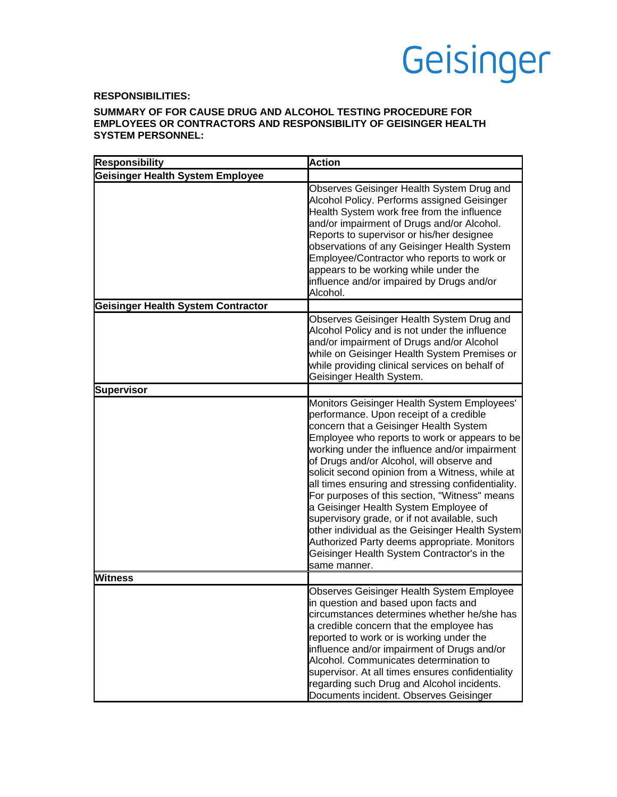#### **RESPONSIBILITIES:**

#### **SUMMARY OF FOR CAUSE DRUG AND ALCOHOL TESTING PROCEDURE FOR EMPLOYEES OR CONTRACTORS AND RESPONSIBILITY OF GEISINGER HEALTH SYSTEM PERSONNEL:**

| <b>Responsibility</b>                     | <b>Action</b>                                                                                                                                                                                                                                                                                                                                                                                                                                                                                                                                                                                                                                                                                       |
|-------------------------------------------|-----------------------------------------------------------------------------------------------------------------------------------------------------------------------------------------------------------------------------------------------------------------------------------------------------------------------------------------------------------------------------------------------------------------------------------------------------------------------------------------------------------------------------------------------------------------------------------------------------------------------------------------------------------------------------------------------------|
| <b>Geisinger Health System Employee</b>   |                                                                                                                                                                                                                                                                                                                                                                                                                                                                                                                                                                                                                                                                                                     |
|                                           | Observes Geisinger Health System Drug and<br>Alcohol Policy. Performs assigned Geisinger<br>Health System work free from the influence<br>and/or impairment of Drugs and/or Alcohol.<br>Reports to supervisor or his/her designee<br>observations of any Geisinger Health System<br>Employee/Contractor who reports to work or<br>appears to be working while under the<br>influence and/or impaired by Drugs and/or<br>Alcohol.                                                                                                                                                                                                                                                                    |
| <b>Geisinger Health System Contractor</b> |                                                                                                                                                                                                                                                                                                                                                                                                                                                                                                                                                                                                                                                                                                     |
|                                           | Observes Geisinger Health System Drug and<br>Alcohol Policy and is not under the influence<br>and/or impairment of Drugs and/or Alcohol<br>while on Geisinger Health System Premises or<br>while providing clinical services on behalf of<br>Geisinger Health System.                                                                                                                                                                                                                                                                                                                                                                                                                               |
| <b>Supervisor</b>                         |                                                                                                                                                                                                                                                                                                                                                                                                                                                                                                                                                                                                                                                                                                     |
|                                           | Monitors Geisinger Health System Employees'<br>performance. Upon receipt of a credible<br>concern that a Geisinger Health System<br>Employee who reports to work or appears to be<br>working under the influence and/or impairment<br>of Drugs and/or Alcohol, will observe and<br>solicit second opinion from a Witness, while at<br>all times ensuring and stressing confidentiality.<br>For purposes of this section, "Witness" means<br>a Geisinger Health System Employee of<br>supervisory grade, or if not available, such<br>other individual as the Geisinger Health System<br>Authorized Party deems appropriate. Monitors<br>Geisinger Health System Contractor's in the<br>same manner. |
| <b>Witness</b>                            |                                                                                                                                                                                                                                                                                                                                                                                                                                                                                                                                                                                                                                                                                                     |
|                                           | Observes Geisinger Health System Employee<br>in question and based upon facts and<br>circumstances determines whether he/she has<br>a credible concern that the employee has<br>reported to work or is working under the<br>influence and/or impairment of Drugs and/or<br>Alcohol. Communicates determination to<br>supervisor. At all times ensures confidentiality<br>regarding such Drug and Alcohol incidents.<br>Documents incident. Observes Geisinger                                                                                                                                                                                                                                       |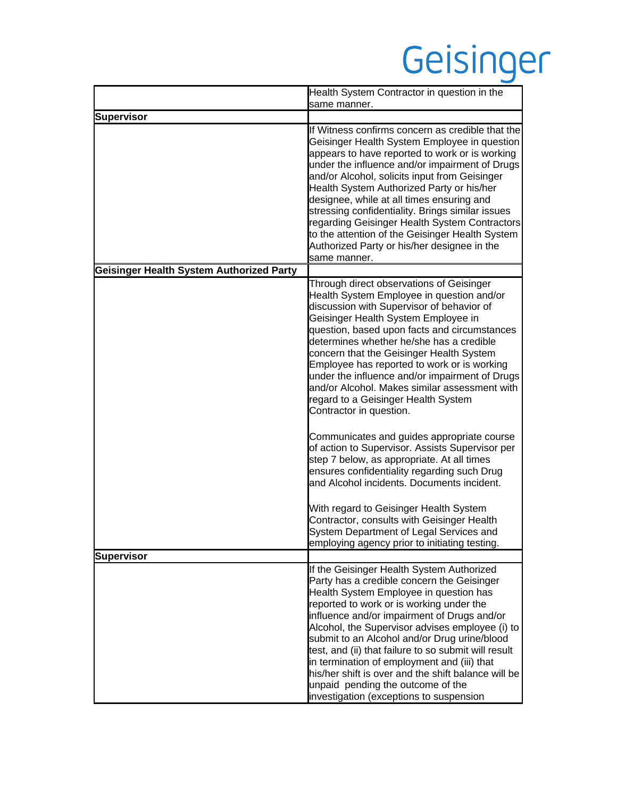|                                          | Health System Contractor in question in the<br>same manner.                                                                                                                                                                                                                                                                                                                                                                                                                                                                                                                                                                                                                                                                                                                                                                 |
|------------------------------------------|-----------------------------------------------------------------------------------------------------------------------------------------------------------------------------------------------------------------------------------------------------------------------------------------------------------------------------------------------------------------------------------------------------------------------------------------------------------------------------------------------------------------------------------------------------------------------------------------------------------------------------------------------------------------------------------------------------------------------------------------------------------------------------------------------------------------------------|
| <b>Supervisor</b>                        |                                                                                                                                                                                                                                                                                                                                                                                                                                                                                                                                                                                                                                                                                                                                                                                                                             |
|                                          | If Witness confirms concern as credible that the<br>Geisinger Health System Employee in question<br>appears to have reported to work or is working<br>under the influence and/or impairment of Drugs<br>and/or Alcohol, solicits input from Geisinger<br>Health System Authorized Party or his/her<br>designee, while at all times ensuring and<br>stressing confidentiality. Brings similar issues<br>regarding Geisinger Health System Contractors<br>to the attention of the Geisinger Health System<br>Authorized Party or his/her designee in the<br>same manner.                                                                                                                                                                                                                                                      |
| Geisinger Health System Authorized Party |                                                                                                                                                                                                                                                                                                                                                                                                                                                                                                                                                                                                                                                                                                                                                                                                                             |
|                                          | Through direct observations of Geisinger<br>Health System Employee in question and/or<br>discussion with Supervisor of behavior of<br>Geisinger Health System Employee in<br>question, based upon facts and circumstances<br>determines whether he/she has a credible<br>concern that the Geisinger Health System<br>Employee has reported to work or is working<br>under the influence and/or impairment of Drugs<br>and/or Alcohol. Makes similar assessment with<br>regard to a Geisinger Health System<br>Contractor in question.<br>Communicates and guides appropriate course<br>of action to Supervisor. Assists Supervisor per<br>step 7 below, as appropriate. At all times<br>ensures confidentiality regarding such Drug<br>and Alcohol incidents. Documents incident.<br>With regard to Geisinger Health System |
|                                          | Contractor, consults with Geisinger Health<br>System Department of Legal Services and                                                                                                                                                                                                                                                                                                                                                                                                                                                                                                                                                                                                                                                                                                                                       |
|                                          | employing agency prior to initiating testing.                                                                                                                                                                                                                                                                                                                                                                                                                                                                                                                                                                                                                                                                                                                                                                               |
| <b>Supervisor</b>                        |                                                                                                                                                                                                                                                                                                                                                                                                                                                                                                                                                                                                                                                                                                                                                                                                                             |
|                                          | If the Geisinger Health System Authorized<br>Party has a credible concern the Geisinger<br>Health System Employee in question has<br>reported to work or is working under the<br>influence and/or impairment of Drugs and/or<br>Alcohol, the Supervisor advises employee (i) to<br>submit to an Alcohol and/or Drug urine/blood<br>test, and (ii) that failure to so submit will result<br>in termination of employment and (iii) that<br>his/her shift is over and the shift balance will be<br>unpaid pending the outcome of the<br>investigation (exceptions to suspension                                                                                                                                                                                                                                               |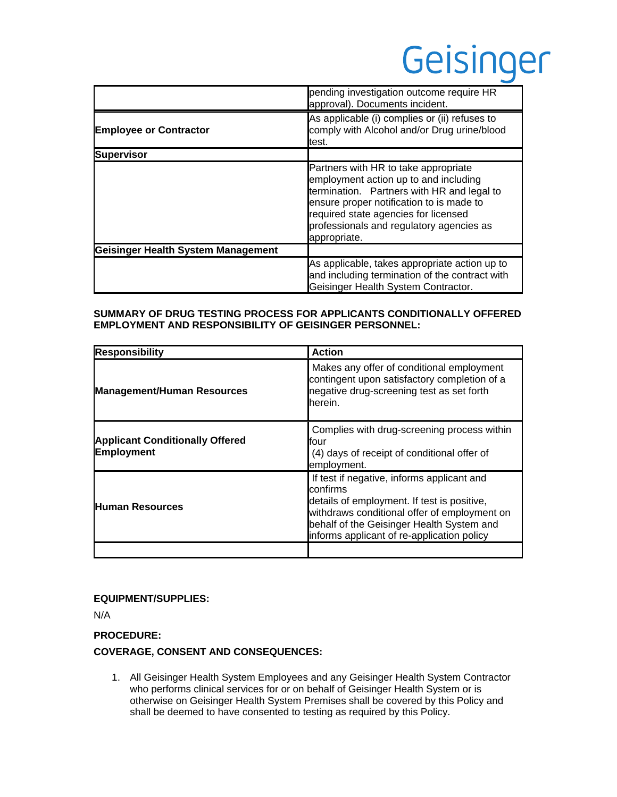|                                    | pending investigation outcome require HR<br>approval). Documents incident.                                                                                                                                                                                                  |
|------------------------------------|-----------------------------------------------------------------------------------------------------------------------------------------------------------------------------------------------------------------------------------------------------------------------------|
| <b>Employee or Contractor</b>      | As applicable (i) complies or (ii) refuses to<br>comply with Alcohol and/or Drug urine/blood<br>test.                                                                                                                                                                       |
| <b>Supervisor</b>                  |                                                                                                                                                                                                                                                                             |
|                                    | Partners with HR to take appropriate<br>employment action up to and including<br>termination. Partners with HR and legal to<br>ensure proper notification to is made to<br>required state agencies for licensed<br>professionals and regulatory agencies as<br>appropriate. |
| Geisinger Health System Management |                                                                                                                                                                                                                                                                             |
|                                    | As applicable, takes appropriate action up to<br>and including termination of the contract with<br>Geisinger Health System Contractor.                                                                                                                                      |

#### **SUMMARY OF DRUG TESTING PROCESS FOR APPLICANTS CONDITIONALLY OFFERED EMPLOYMENT AND RESPONSIBILITY OF GEISINGER PERSONNEL:**

| <b>Responsibility</b>                                       | <b>Action</b>                                                                                                                                                                                                                                    |
|-------------------------------------------------------------|--------------------------------------------------------------------------------------------------------------------------------------------------------------------------------------------------------------------------------------------------|
| <b>Management/Human Resources</b>                           | Makes any offer of conditional employment<br>contingent upon satisfactory completion of a<br>negative drug-screening test as set forth<br>herein.                                                                                                |
| <b>Applicant Conditionally Offered</b><br><b>Employment</b> | Complies with drug-screening process within<br>lfour<br>(4) days of receipt of conditional offer of<br>employment.                                                                                                                               |
| <b>Human Resources</b>                                      | If test if negative, informs applicant and<br>confirms<br>details of employment. If test is positive,<br>withdraws conditional offer of employment on<br>behalf of the Geisinger Health System and<br>informs applicant of re-application policy |
|                                                             |                                                                                                                                                                                                                                                  |

#### **EQUIPMENT/SUPPLIES:**

N/A

#### **PROCEDURE:**

#### **COVERAGE, CONSENT AND CONSEQUENCES:**

1. All Geisinger Health System Employees and any Geisinger Health System Contractor who performs clinical services for or on behalf of Geisinger Health System or is otherwise on Geisinger Health System Premises shall be covered by this Policy and shall be deemed to have consented to testing as required by this Policy.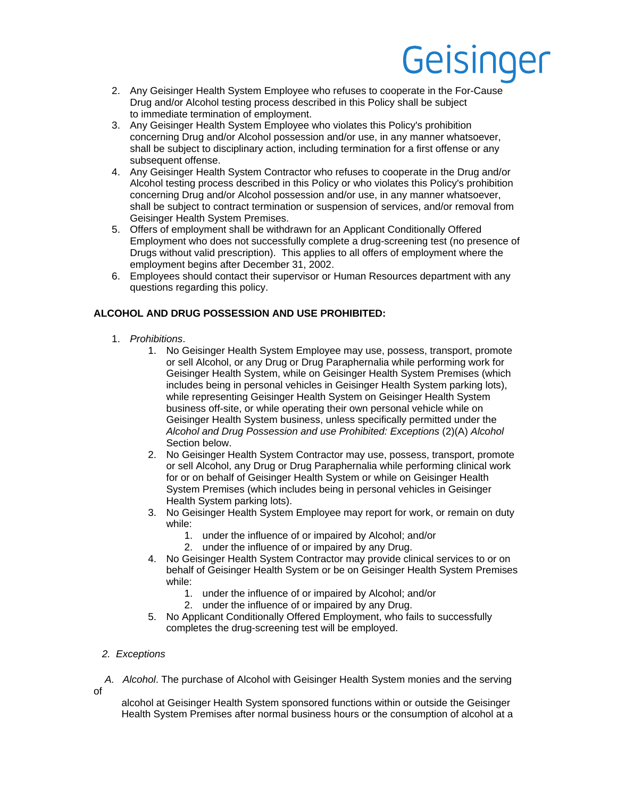- 2. Any Geisinger Health System Employee who refuses to cooperate in the For-Cause Drug and/or Alcohol testing process described in this Policy shall be subject to immediate termination of employment.
- 3. Any Geisinger Health System Employee who violates this Policy's prohibition concerning Drug and/or Alcohol possession and/or use, in any manner whatsoever, shall be subject to disciplinary action, including termination for a first offense or any subsequent offense.
- 4. Any Geisinger Health System Contractor who refuses to cooperate in the Drug and/or Alcohol testing process described in this Policy or who violates this Policy's prohibition concerning Drug and/or Alcohol possession and/or use, in any manner whatsoever, shall be subject to contract termination or suspension of services, and/or removal from Geisinger Health System Premises.
- 5. Offers of employment shall be withdrawn for an Applicant Conditionally Offered Employment who does not successfully complete a drug-screening test (no presence of Drugs without valid prescription). This applies to all offers of employment where the employment begins after December 31, 2002.
- 6. Employees should contact their supervisor or Human Resources department with any questions regarding this policy.

#### **ALCOHOL AND DRUG POSSESSION AND USE PROHIBITED:**

- 1. *Prohibitions*.
	- 1. No Geisinger Health System Employee may use, possess, transport, promote or sell Alcohol, or any Drug or Drug Paraphernalia while performing work for Geisinger Health System, while on Geisinger Health System Premises (which includes being in personal vehicles in Geisinger Health System parking lots), while representing Geisinger Health System on Geisinger Health System business off-site, or while operating their own personal vehicle while on Geisinger Health System business, unless specifically permitted under the *Alcohol and Drug Possession and use Prohibited: Exceptions* (2)(A) *Alcohol* Section below.
	- 2. No Geisinger Health System Contractor may use, possess, transport, promote or sell Alcohol, any Drug or Drug Paraphernalia while performing clinical work for or on behalf of Geisinger Health System or while on Geisinger Health System Premises (which includes being in personal vehicles in Geisinger Health System parking lots).
	- 3. No Geisinger Health System Employee may report for work, or remain on duty while:
		- 1. under the influence of or impaired by Alcohol; and/or
		- 2. under the influence of or impaired by any Drug.
	- 4. No Geisinger Health System Contractor may provide clinical services to or on behalf of Geisinger Health System or be on Geisinger Health System Premises while:
		- 1. under the influence of or impaired by Alcohol; and/or
		- 2. under the influence of or impaired by any Drug.
	- 5. No Applicant Conditionally Offered Employment, who fails to successfully completes the drug-screening test will be employed.

#### *2. Exceptions*

 *A. Alcohol*. The purchase of Alcohol with Geisinger Health System monies and the serving of

 alcohol at Geisinger Health System sponsored functions within or outside the Geisinger Health System Premises after normal business hours or the consumption of alcohol at a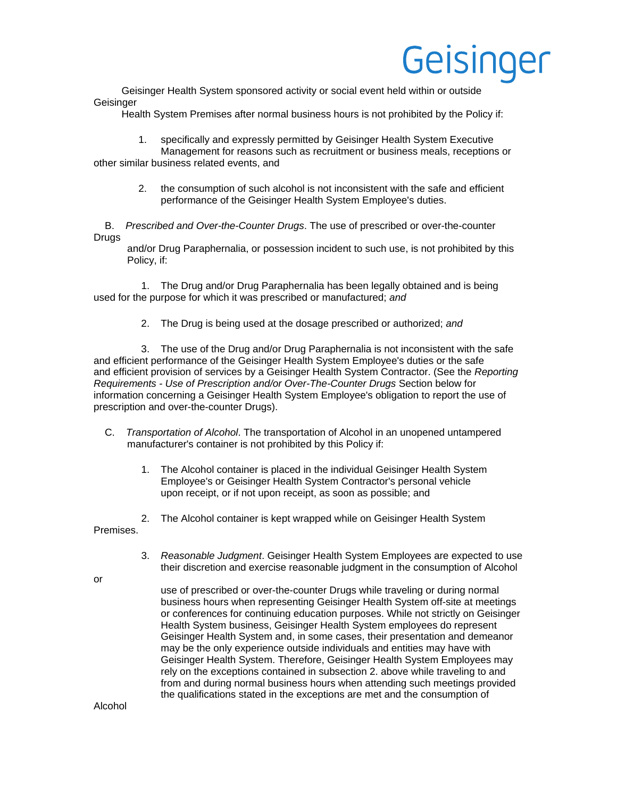Geisinger Health System sponsored activity or social event held within or outside **Geisinger** 

Health System Premises after normal business hours is not prohibited by the Policy if:

 1. specifically and expressly permitted by Geisinger Health System Executive Management for reasons such as recruitment or business meals, receptions or

other similar business related events, and

 2. the consumption of such alcohol is not inconsistent with the safe and efficient performance of the Geisinger Health System Employee's duties.

 B. *Prescribed and Over-the-Counter Drugs*. The use of prescribed or over-the-counter Drugs

 and/or Drug Paraphernalia, or possession incident to such use, is not prohibited by this Policy, if:

 1. The Drug and/or Drug Paraphernalia has been legally obtained and is being used for the purpose for which it was prescribed or manufactured; *and*

2. The Drug is being used at the dosage prescribed or authorized; *and*

 3.The use of the Drug and/or Drug Paraphernalia is not inconsistent with the safe and efficient performance of the Geisinger Health System Employee's duties or the safe and efficient provision of services by a Geisinger Health System Contractor. (See the *Reporting Requirements - Use of Prescription and/or Over-The-Counter Drugs* Section below for information concerning a Geisinger Health System Employee's obligation to report the use of prescription and over-the-counter Drugs).

- C. *Transportation of Alcohol*. The transportation of Alcohol in an unopened untampered manufacturer's container is not prohibited by this Policy if:
	- 1. The Alcohol container is placed in the individual Geisinger Health System Employee's or Geisinger Health System Contractor's personal vehicle upon receipt, or if not upon receipt, as soon as possible; and
	- 2. The Alcohol container is kept wrapped while on Geisinger Health System

Premises.

 3. *Reasonable Judgment*. Geisinger Health System Employees are expected to use their discretion and exercise reasonable judgment in the consumption of Alcohol

or

 use of prescribed or over-the-counter Drugs while traveling or during normal business hours when representing Geisinger Health System off-site at meetings or conferences for continuing education purposes. While not strictly on Geisinger Health System business, Geisinger Health System employees do represent Geisinger Health System and, in some cases, their presentation and demeanor may be the only experience outside individuals and entities may have with Geisinger Health System. Therefore, Geisinger Health System Employees may rely on the exceptions contained in subsection 2. above while traveling to and from and during normal business hours when attending such meetings provided the qualifications stated in the exceptions are met and the consumption of

Alcohol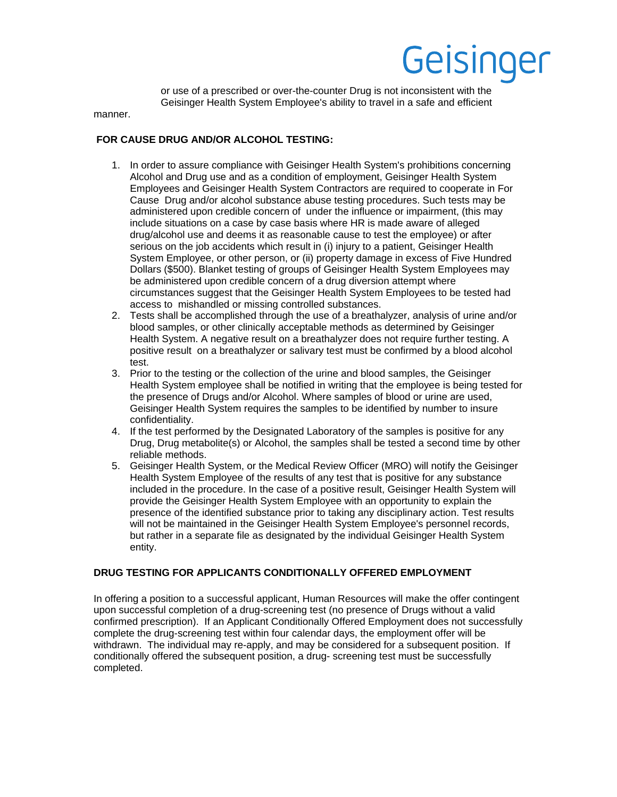or use of a prescribed or over-the-counter Drug is not inconsistent with the Geisinger Health System Employee's ability to travel in a safe and efficient

manner.

#### **FOR CAUSE DRUG AND/OR ALCOHOL TESTING:**

- 1. In order to assure compliance with Geisinger Health System's prohibitions concerning Alcohol and Drug use and as a condition of employment, Geisinger Health System Employees and Geisinger Health System Contractors are required to cooperate in For Cause Drug and/or alcohol substance abuse testing procedures. Such tests may be administered upon credible concern of under the influence or impairment, (this may include situations on a case by case basis where HR is made aware of alleged drug/alcohol use and deems it as reasonable cause to test the employee) or after serious on the job accidents which result in (i) injury to a patient, Geisinger Health System Employee, or other person, or (ii) property damage in excess of Five Hundred Dollars (\$500). Blanket testing of groups of Geisinger Health System Employees may be administered upon credible concern of a drug diversion attempt where circumstances suggest that the Geisinger Health System Employees to be tested had access to mishandled or missing controlled substances.
- 2. Tests shall be accomplished through the use of a breathalyzer, analysis of urine and/or blood samples, or other clinically acceptable methods as determined by Geisinger Health System. A negative result on a breathalyzer does not require further testing. A positive result on a breathalyzer or salivary test must be confirmed by a blood alcohol test.
- 3. Prior to the testing or the collection of the urine and blood samples, the Geisinger Health System employee shall be notified in writing that the employee is being tested for the presence of Drugs and/or Alcohol. Where samples of blood or urine are used, Geisinger Health System requires the samples to be identified by number to insure confidentiality.
- 4. If the test performed by the Designated Laboratory of the samples is positive for any Drug, Drug metabolite(s) or Alcohol, the samples shall be tested a second time by other reliable methods.
- 5. Geisinger Health System, or the Medical Review Officer (MRO) will notify the Geisinger Health System Employee of the results of any test that is positive for any substance included in the procedure. In the case of a positive result, Geisinger Health System will provide the Geisinger Health System Employee with an opportunity to explain the presence of the identified substance prior to taking any disciplinary action. Test results will not be maintained in the Geisinger Health System Employee's personnel records, but rather in a separate file as designated by the individual Geisinger Health System entity.

#### **DRUG TESTING FOR APPLICANTS CONDITIONALLY OFFERED EMPLOYMENT**

In offering a position to a successful applicant, Human Resources will make the offer contingent upon successful completion of a drug-screening test (no presence of Drugs without a valid confirmed prescription). If an Applicant Conditionally Offered Employment does not successfully complete the drug-screening test within four calendar days, the employment offer will be withdrawn. The individual may re-apply, and may be considered for a subsequent position. If conditionally offered the subsequent position, a drug- screening test must be successfully completed.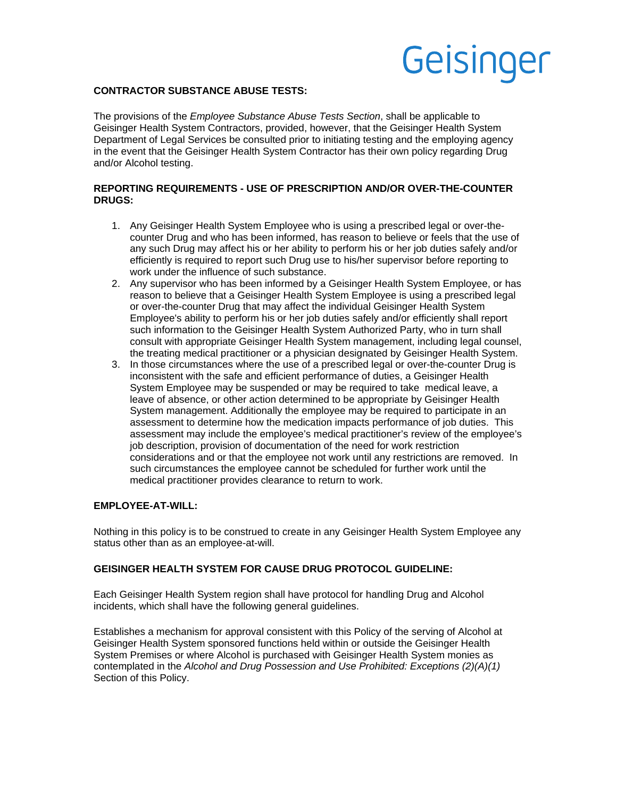#### **CONTRACTOR SUBSTANCE ABUSE TESTS:**

The provisions of the *Employee Substance Abuse Tests Section*, shall be applicable to Geisinger Health System Contractors, provided, however, that the Geisinger Health System Department of Legal Services be consulted prior to initiating testing and the employing agency in the event that the Geisinger Health System Contractor has their own policy regarding Drug and/or Alcohol testing.

#### **REPORTING REQUIREMENTS - USE OF PRESCRIPTION AND/OR OVER-THE-COUNTER DRUGS:**

- 1. Any Geisinger Health System Employee who is using a prescribed legal or over-thecounter Drug and who has been informed, has reason to believe or feels that the use of any such Drug may affect his or her ability to perform his or her job duties safely and/or efficiently is required to report such Drug use to his/her supervisor before reporting to work under the influence of such substance.
- 2. Any supervisor who has been informed by a Geisinger Health System Employee, or has reason to believe that a Geisinger Health System Employee is using a prescribed legal or over-the-counter Drug that may affect the individual Geisinger Health System Employee's ability to perform his or her job duties safely and/or efficiently shall report such information to the Geisinger Health System Authorized Party, who in turn shall consult with appropriate Geisinger Health System management, including legal counsel, the treating medical practitioner or a physician designated by Geisinger Health System.
- 3. In those circumstances where the use of a prescribed legal or over-the-counter Drug is inconsistent with the safe and efficient performance of duties, a Geisinger Health System Employee may be suspended or may be required to take medical leave, a leave of absence, or other action determined to be appropriate by Geisinger Health System management. Additionally the employee may be required to participate in an assessment to determine how the medication impacts performance of job duties. This assessment may include the employee's medical practitioner's review of the employee's job description, provision of documentation of the need for work restriction considerations and or that the employee not work until any restrictions are removed. In such circumstances the employee cannot be scheduled for further work until the medical practitioner provides clearance to return to work.

#### **EMPLOYEE-AT-WILL:**

Nothing in this policy is to be construed to create in any Geisinger Health System Employee any status other than as an employee-at-will.

#### **GEISINGER HEALTH SYSTEM FOR CAUSE DRUG PROTOCOL GUIDELINE:**

Each Geisinger Health System region shall have protocol for handling Drug and Alcohol incidents, which shall have the following general guidelines.

Establishes a mechanism for approval consistent with this Policy of the serving of Alcohol at Geisinger Health System sponsored functions held within or outside the Geisinger Health System Premises or where Alcohol is purchased with Geisinger Health System monies as contemplated in the *Alcohol and Drug Possession and Use Prohibited: Exceptions (2)(A)(1)* Section of this Policy.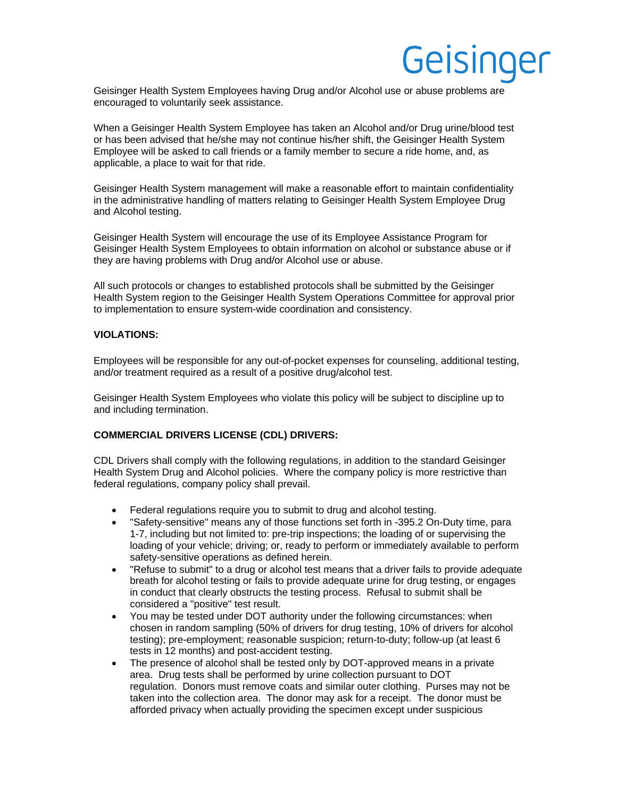Geisinger Health System Employees having Drug and/or Alcohol use or abuse problems are encouraged to voluntarily seek assistance.

When a Geisinger Health System Employee has taken an Alcohol and/or Drug urine/blood test or has been advised that he/she may not continue his/her shift, the Geisinger Health System Employee will be asked to call friends or a family member to secure a ride home, and, as applicable, a place to wait for that ride.

Geisinger Health System management will make a reasonable effort to maintain confidentiality in the administrative handling of matters relating to Geisinger Health System Employee Drug and Alcohol testing.

Geisinger Health System will encourage the use of its Employee Assistance Program for Geisinger Health System Employees to obtain information on alcohol or substance abuse or if they are having problems with Drug and/or Alcohol use or abuse.

All such protocols or changes to established protocols shall be submitted by the Geisinger Health System region to the Geisinger Health System Operations Committee for approval prior to implementation to ensure system-wide coordination and consistency.

#### **VIOLATIONS:**

Employees will be responsible for any out-of-pocket expenses for counseling, additional testing, and/or treatment required as a result of a positive drug/alcohol test.

Geisinger Health System Employees who violate this policy will be subject to discipline up to and including termination.

#### **COMMERCIAL DRIVERS LICENSE (CDL) DRIVERS:**

CDL Drivers shall comply with the following regulations, in addition to the standard Geisinger Health System Drug and Alcohol policies. Where the company policy is more restrictive than federal regulations, company policy shall prevail.

- Federal regulations require you to submit to drug and alcohol testing.
- "Safety-sensitive" means any of those functions set forth in -395.2 On-Duty time, para 1-7, including but not limited to: pre-trip inspections; the loading of or supervising the loading of your vehicle; driving; or, ready to perform or immediately available to perform safety-sensitive operations as defined herein.
- "Refuse to submit" to a drug or alcohol test means that a driver fails to provide adequate breath for alcohol testing or fails to provide adequate urine for drug testing, or engages in conduct that clearly obstructs the testing process. Refusal to submit shall be considered a "positive" test result.
- You may be tested under DOT authority under the following circumstances: when chosen in random sampling (50% of drivers for drug testing, 10% of drivers for alcohol testing); pre-employment; reasonable suspicion; return-to-duty; follow-up (at least 6 tests in 12 months) and post-accident testing.
- The presence of alcohol shall be tested only by DOT-approved means in a private area. Drug tests shall be performed by urine collection pursuant to DOT regulation. Donors must remove coats and similar outer clothing. Purses may not be taken into the collection area. The donor may ask for a receipt. The donor must be afforded privacy when actually providing the specimen except under suspicious